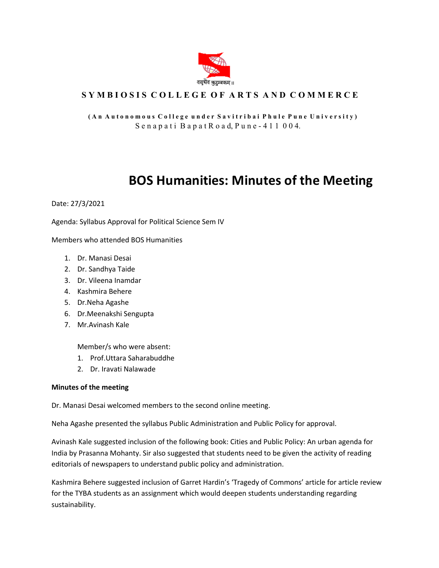

## **S Y M B I O S I S C O L L E G E O F A R T S A N D C O M M E R C E**

**( A n A u t o n o m o u s C o l l e g e u n d e r S a v i t r i b a i P h u l e P u n e U n i v e r s i t y )** S e n a p a t i B a p a t R o a d, P u n e - 4 1 1 0 0 4.

## **BOS Humanities: Minutes of the Meeting**

Date: 27/3/2021

Agenda: Syllabus Approval for Political Science Sem IV

Members who attended BOS Humanities

- 1. Dr. Manasi Desai
- 2. Dr. Sandhya Taide
- 3. Dr. Vileena Inamdar
- 4. Kashmira Behere
- 5. Dr.Neha Agashe
- 6. Dr.Meenakshi Sengupta
- 7. Mr.Avinash Kale

Member/s who were absent:

- 1. Prof.Uttara Saharabuddhe
- 2. Dr. Iravati Nalawade

## **Minutes of the meeting**

Dr. Manasi Desai welcomed members to the second online meeting.

Neha Agashe presented the syllabus Public Administration and Public Policy for approval.

Avinash Kale suggested inclusion of the following book: Cities and Public Policy: An urban agenda for India by Prasanna Mohanty. Sir also suggested that students need to be given the activity of reading editorials of newspapers to understand public policy and administration.

Kashmira Behere suggested inclusion of Garret Hardin's 'Tragedy of Commons' article for article review for the TYBA students as an assignment which would deepen students understanding regarding sustainability.